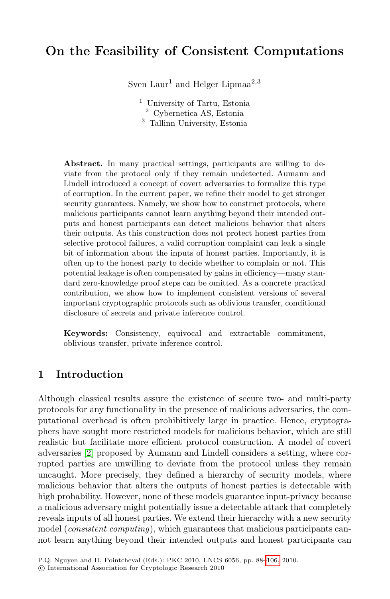# **On the Feasibility of Consistent Computations**

Sven Laur<sup>1</sup> and Helger Lipmaa<sup>2,3</sup>

<sup>1</sup> University of Tartu, Estonia<br><sup>2</sup> Cybernetica AS. Estonia  $3$  Tallinn University, Estonia

**Abstract.** In many practical settings, participants are willing to deviate from the protocol only if they remain undetected. Aumann and Lindell introduced a concept of covert adversaries to formalize this type of corruption. In the current paper, we refine their model to get stronger security guarantees. Namely, we show how to construct protocols, where malicious participants cannot learn anything beyond their intended outputs and honest participants can detect malicious behavior that alters their outputs. As this construction does not protect honest parties from selective protocol failures, a valid corruption complaint can leak a single bit of information about the inputs of honest parties. Importantly, it is often up to the honest party to decide whether to complain or not. This potential leakage is often compensated by gains in efficiency—many standard zero-knowledge proof steps can be omitted. As a concrete practical contribution, we show how to implement consistent versions of several important cryptographic protocols such as oblivious transfer, conditional disclosure of secrets and private inference control.

**Keywords:** Consistency, equivocal and extractable commitment, oblivious transfer, private inference control.

### **1 Introduction**

Although classical results assure the existence of secure two- and multi-party protocols for any functionality in the presence of malicious adversaries, the computational overhead is often prohibitively large in practice. Hence, cryptographers have sought more restricted models for malicious behavior, which are still realistic but facilitate more efficient protocol construction. A model of covert adversaries [2] proposed by Aumann and Lindell considers a setting, where corrupted parties are unwilling to deviate from the protocol unless they remain uncaught. More precisely, they define[d a](#page-18-0) hierarchy of security models, where malicious behavior that alters the outputs of honest parties is detectable with high probability. However, none of these models guarantee input-privacy because a malicious adversary might potentially issue a detectable attack that completely reveals inputs of all honest parties. We extend their hierarchy with a new security model (*consistent computing*), which guarantees that malicious participants cannot learn anything beyond their intended outputs and honest participants can

P.Q. Nguyen and D. Pointcheval (Eds.): PKC 2010, LNCS 6056, pp. 88–106, 2010.

<sup>-</sup>c International Association for Cryptologic Research 2010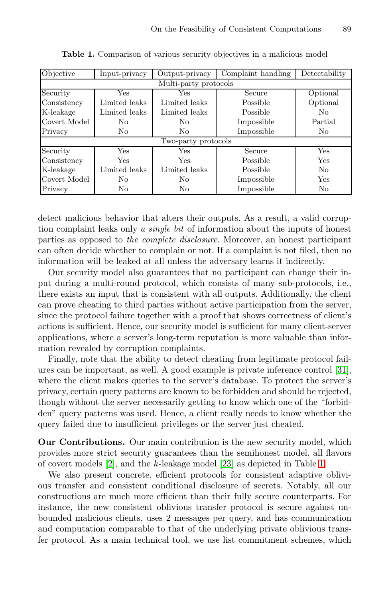<span id="page-1-0"></span>

| Objective             | Input-privacy | Output-privacy | Complaint handling | Detectability |
|-----------------------|---------------|----------------|--------------------|---------------|
| Multi-party protocols |               |                |                    |               |
| Security              | Yes           | Yes            | Secure             | Optional      |
| Consistency           | Limited leaks | Limited leaks  | Possible           | Optional      |
| K-leakage             | Limited leaks | Limited leaks  | Possible           | No            |
| Covert Model          | No            | No             | Impossible         | Partial       |
| Privacy               | No            | No             | Impossible         | No            |
| Two-party protocols   |               |                |                    |               |
| Security              | Yes           | Yes            | Secure             | Yes           |
| Consistency           | Yes           | Yes            | Possible           | Yes           |
| K-leakage             | Limited leaks | Limited leaks  | Possible           | No            |
| Covert Model          | No            | No             | Impossible         | Yes           |
| Privacy               | No            | No             | Impossible         | No            |

**Table 1.** Comparison of various security objectives in a malicious model

detect malicious behavior that alters their outputs. As a result, a valid corruption complaint leaks only *a single bit* of information about the inputs of honest parties as opposed to *the complete disclosure*. Moreover, an honest participant can often decide whether to complain or not. If a complaint is not filed, then no information will be leaked at all unless the adversary learns it indirectly.

Our security model also guarantees that no participant can change their input during a multi-round protocol, which consists of m[any](#page-18-1) sub-protocols, i.e., there exists an input that is consistent with all outputs. Additionally, the client can prove cheating to third parties without active participation from the server, since the protocol failure together with a proof that shows correctness of client's actions is sufficient. Hence, our security model is sufficient for many client-server applications, where a server's long-term reputation is more valuable than information revealed by corruption complaints.

Finally, note that the ability to detect cheating from legitimate protocol failures can be important, as well. A good example is private inference control [31], [w](#page-17-0)here the client makes que[ries](#page-18-2) to the server's data[bas](#page-1-0)e. To protect the server's privacy, certain query patterns are known to be forbidden and should be rejected, though without the server necessarily getting to know which one of the "forbidden" query patterns was used. Hence, a client really needs to know whether the query failed due to insufficient privileges or the server just cheated.

**Our Contributions.** Our main contribution is the new security model, which provides more strict security guarantees than the semihonest model, all flavors of covert models [2], and the k-leakage model [23] as depicted in Table 1.

We also present concrete, efficient protocols for consistent adaptive oblivious transfer and consistent conditional disclosure of secrets. Notably, all our constructions are much more efficient than their fully secure counterparts. For instance, the new consistent oblivious transfer protocol is secure against unbounded malicious clients, uses 2 messages per query, and has communication and computation comparable to that of the underlying private oblivious transfer protocol. As a main technical tool, we use list commitment schemes, which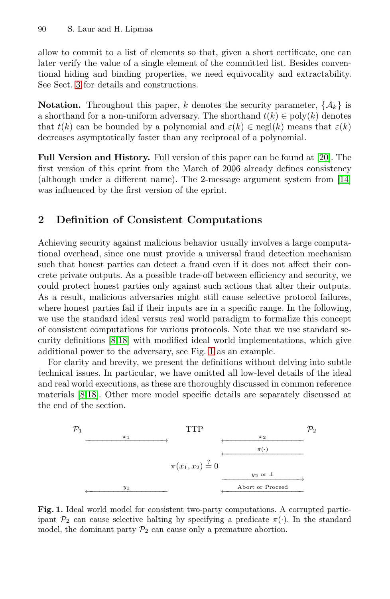allow to commit to a list of elements so that, given a short certificate, one can later verify the value of a single element of the committed list. Besides conventional hiding and binding properties, we need equ[ivoc](#page-18-3)ality and extractability. See Sect. 3 for details and constructions.

**Notation.** Throughout this paper, k denotes the security parameter,  $\{A_k\}$  is a shorthand for a non-uniform adversary. The shorthand  $t(k) \in \text{poly}(k)$  denotes that  $t(k)$  can be bounded by a polynomial and  $\varepsilon(k) \in \text{negl}(k)$  means that  $\varepsilon(k)$ decreases asymptotically faster than any reciprocal of a polynomial.

**Full Version and History.** Full version of this paper can be found at [20]. The first version of this eprint from the March of 2006 already defines consistency (although under a different name). The 2-message argument system from [14] was influenced by the first version of the eprint.

## **2 Definition of Consistent Computations**

Achieving security against malicious behavior usually involves a large computa[t](#page-17-1)[ion](#page-18-4)al overhead, since one must provide a universal fraud detection mechanism such that honest partie[s c](#page-2-0)an detect a fraud even if it does not affect their concrete private outputs. As a possible trade-off between efficiency and security, we could protect honest parties only against such actions that alter their outputs. As a result, malicious adversaries might still cause selective protocol failures, where honest parties fail if their inputs are in a specific range. In the following, we use the standard ideal versus real world paradigm to formalize this concept of consistent computations for various protocols. Note that we use standard security definitions [8,18] with modified ideal world implementations, which give additional power to the adversary, see Fig. 1 as an example.

For clarity and brevity, we present the definitions without delving into subtle technical issues. In particular, we have omitted all low-level details of the ideal and real world executions, as these are thoroughly discussed in common reference materials [8,18]. Other more model specific details are separately discussed at the end of the section.

<span id="page-2-0"></span>

**Fig. 1.** Ideal world model for consistent two-party computations. A corrupted participant  $\mathcal{P}_2$  can cause selective halting by specifying a predicate  $\pi(\cdot)$ . In the standard model, the dominant party  $\mathcal{P}_2$  can cause only a premature abortion.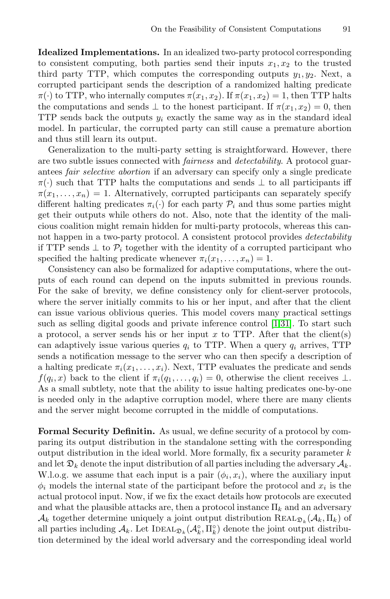**Idealized Implementations.** In an idealized two-party protocol corresponding to consistent computing, both parties send their inputs  $x_1, x_2$  to the trusted third party TTP, which computes the corresponding outputs  $y_1, y_2$ . Next, a corrupted participant sends the description of a randomized halting predicate  $\pi(\cdot)$  to TTP, who internally computes  $\pi(x_1, x_2)$ . If  $\pi(x_1, x_2) = 1$ , then TTP halts the computations and sends  $\perp$  to the honest participant. If  $\pi(x_1, x_2) = 0$ , then TTP sends back the outputs  $y_i$  exactly the same way as in the standard ideal model. In particular, the corrupted party can still cause a premature abortion and thus still learn its output.

Generalization to the multi-party setting is straightforward. However, there are two subtle issues connected with *fairness* and *detectability*. A protocol guarantees *fair selective abortion* if an adversary can specify only a single predicate  $\pi(\cdot)$  such that TTP halts the computations and sends  $\perp$  to all participants iff  $\pi(x_1,\ldots,x_n) = 1$ . Alternatively, corrupted participants can separately specify different halting predicates  $\pi_i(\cdot)$  for each party  $\mathcal{P}_i$  and thus some parties might get their outputs while others do not. Also, note that the identity of the malicious coalition might remain hidden for multi-party protocols, whereas this cannot happen in a two-party protocol. A c[on](#page-17-2)[sist](#page-18-1)ent protocol provides *detectability* if TTP sends  $\perp$  to  $\mathcal{P}_i$  together with the identity of a corrupted participant who specified the halting predicate whenever  $\pi_i(x_1,\ldots,x_n) = 1$ .

Consistency can also be formalized for adaptive computations, where the outputs of each round can depend on the inputs submitted in previous rounds. For the sake of brevity, we define consistency only for client-server protocols, where the server initially commits to his or her input, and after that the client can issue various oblivious queries. This model covers many practical settings such as selling digital goods and private inference control [1,31]. To start such a protocol, a server sends his or her input  $x$  to TTP. After that the client(s) can adaptively issue various queries  $q_i$  to TTP. When a query  $q_i$  arrives, TTP sends a notification message to the server who can then specify a description of a halting predicate  $\pi_i(x_1,\ldots,x_i)$ . Next, TTP evaluates the predicate and sends  $f(q_i, x)$  back to the client if  $\pi_i(q_1,\ldots,q_i) = 0$ , otherwise the client receives  $\perp$ . As a small subtlety, note that the ability to issue halting predicates one-by-one is needed only in the adaptive corruption model, where there are many clients and the server might become corrupted in the middle of computations.

**Formal Security Definitin.** As usual, we define security of a protocol by comparing its output distribution in the standalone setting with the corresponding output distribution in the ideal world. More formally, fix a security parameter  $k$ and let  $\mathfrak{D}_k$  denote the input distribution of all parties including the adversary  $\mathcal{A}_k$ . W.l.o.g. we assume that each input is a pair  $(\phi_i, x_i)$ , where the auxiliary input  $\phi_i$  models the internal state of the participant before the protocol and  $x_i$  is the actual protocol input. Now, if we fix the exact details how protocols are executed and what the plausible attacks are, then a protocol instance  $\Pi_k$  and an adversary  $\mathcal{A}_k$  together determine uniquely a joint output distribution  $\text{ReAL}_{\mathfrak{D}_k}(\mathcal{A}_k, \Pi_k)$  of all parties including  $\mathcal{A}_k$ . Let  $\text{IDEAL}_{\mathfrak{D}_k}(\mathcal{A}_k^{\circ}, \Pi_k^{\circ})$  denote the joint output distribution determined by the ideal world adversary and the corresponding ideal world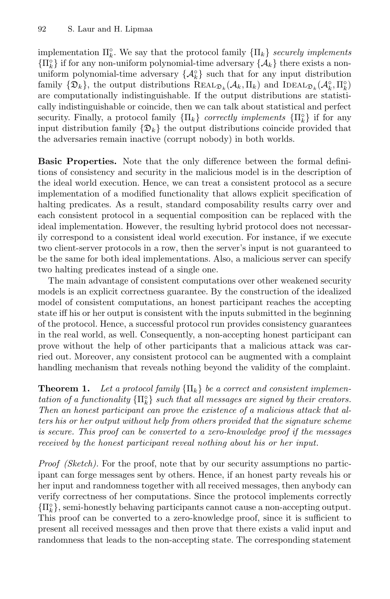implementation  $\Pi_k^{\circ}$ . We say that the protocol family  $\{\Pi_k\}$  *securely implements*  ${\{\Pi_k^{\circ}\}}$  if for any non-uniform polynomial-time adversary  ${\{\mathcal{A}_k\}}$  there exists a nonuniform polynomial-time adversary  $\{\mathcal{A}_{k}^{\circ}\}\$  such that for any input distribution family  $\{\mathfrak{D}_k\}$ , the output distributions  $\operatorname{REAL}_{\mathfrak{D}_k}(\mathcal{A}_k, \Pi_k)$  and  $\operatorname{IDEAL}_{\mathfrak{D}_k}(\mathcal{A}_k^{\circ}, \Pi_k^{\circ})$ are computationally indistinguishable. If the output distributions are statistically indistinguishable or coincide, then we can talk about statistical and perfect security. Finally, a protocol family  $\{\Pi_k\}$  *correctly implements*  $\{\Pi_k^{\circ}\}\$  if for any input distribution family  $\{\mathfrak{D}_k\}$  the output distributions coincide provided that the adversaries remain inactive (corrupt nobody) in both worlds.

**Basic Properties.** Note that the only difference between the formal definitions of consistency and security in the malicious model is in the description of the ideal world execution. Hence, we can treat a consistent protocol as a secure implementation of a modified functionality that allows explicit specification of halting predicates. As a result, standard composability results carry over and each consistent protocol in a sequential composition can be replaced with the ideal implementation. However, the resulting hybrid protocol does not necessarily correspond to a consistent ideal world execution. For instance, if we execute two client-server protocols in a row, then the server's input is not guaranteed to be the same for both ideal implementations. Also, a malicious server can specify two halting predicates instead of a single one.

The main advantage of consistent computations over other weakened security models is an explicit correctness guarantee. By the construction of the idealized model of consistent computations, an honest participant reaches the accepting state iff his or her output is consistent with the inputs submitted in the beginning of the protocol. Hence, a successful protocol run provides consistency guarantees in the real world, as well. Consequently, a non-accepting honest participant can prove without the help of other participants that a malicious attack was carried out. Moreover, any consistent protocol can be augmented with a complaint handling mechanism that reveals nothing beyond the validity of the complaint.

<span id="page-4-0"></span>**Theorem 1.** Let a protocol family  $\{\Pi_k\}$  be a correct and consistent implemen*tation of a functionality*  ${\{\Pi_{k}^{\circ}\}}$  *such that all messages are signed by their creators. Then an honest participant can prove the existence of a malicious attack that alters his or her output without help from others provided that the signature scheme is secure. This proof can be converted to a zero-knowledge proof if the messages received by the honest participant reveal nothing about his or her input.*

*Proof (Sketch)*. For the proof, note that by our security assumptions no participant can forge messages sent by others. Hence, if an honest party reveals his or her input and randomness together with all received messages, then anybody can verify correctness of her computations. Since the protocol implements correctly  ${\{\Pi_k^{\circ}\}}$ , semi-honestly behaving participants cannot cause a non-accepting output. This proof can be converted to a zero-knowledge proof, since it is sufficient to present all received messages and then prove that there exists a valid input and randomness that leads to the non-accepting state. The corresponding statement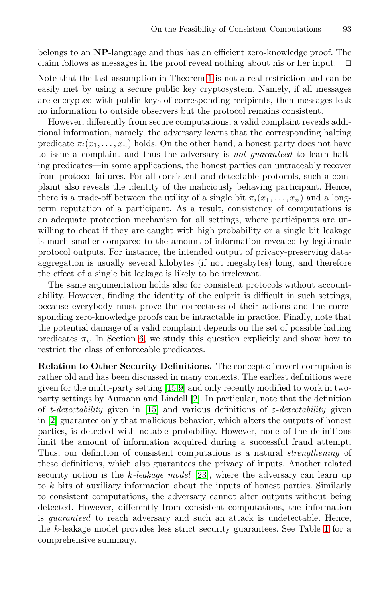belongs to an **NP**-language and thus has an efficient zero-knowledge proof. The claim follows as messages in the proof reveal nothing about his or her input.  $\square$ 

Note that the last assumption in Theorem 1 is not a real restriction and can be easily met by using a secure public key cryptosystem. Namely, if all messages are encrypted with public keys of corresponding recipients, then messages leak no information to outside observers but the protocol remains consistent.

However, differently from secure computations, a valid complaint reveals additional information, namely, the adversary learns that the corresponding halting predicate  $\pi_i(x_1,\ldots,x_n)$  holds. On the other hand, a honest party does not have to issue a complaint and thus the adversary is *not guaranteed* to learn halting predicates—in some applications, the honest parties can untraceably recover from protocol failures. For all consistent and detectable protocols, such a complaint also reveals the identity of the maliciously behaving participant. Hence, there is a trade-off between the utility of a single bit  $\pi_i(x_1,\ldots,x_n)$  and a longterm reputation of a participant. As a result, consistency of computations is an adequate protection mechanism for all settings, where participants are unwilling to cheat if they are caught with high probability or a single bit leakage is much smaller compared to the amount of information revealed by legitimate protoc[ol](#page-15-0) outputs. For instance, the intended output of privacy-preserving dataaggregation is usually several kilobytes (if not megabytes) long, and therefore the effect of a single bit leakage is likely to be irrelevant.

The same argumentation holds also for consistent protocols without accountability. However, finding the identity of the culprit is difficult in such settings, because ever[ybo](#page-18-5)[dy](#page-17-3) must prove the correctness of their actions and the corresponding zero-know[led](#page-17-0)ge proofs can be intractable in practice. Finally, note that the pote[ntia](#page-18-5)l damage of a valid complaint depends on the set of possible halting predicates  $\pi_i$ . In Section 6, we study this question explicitly and show how to restrict the class of enforceable predicates.

**Relation to Other Security Definitions.** The concept of covert corruption is rather old and has been discussed in many contexts. The earliest definitions were given for the multi-pa[rty](#page-18-2) setting [15,9] and only recently modified to work in twoparty settings by Aumann and Lindell [2]. In particular, note that the definition of *t-detectability* given in [15] and various definitions of  $\varepsilon$ -detectability given in [2] guarantee only that malicious behavior, which alters the outputs of honest parties, is detected with notable probability. However, none of the definitions limit the amount of information acquired during a [su](#page-1-0)ccessful fraud attempt. Thus, our definition of consistent computations is a natural *strengthening* of these definitions, which also guarantees the privacy of inputs. Another related security notion is the k*-leakage model* [23], where the adversary can learn up to k bits of auxiliary information about the inputs of honest parties. Similarly to consistent computations, the adversary cannot alter outputs without being detected. However, differently from consistent computations, the information is *guaranteed* to reach adversary and such an attack is undetectable. Hence, the k-leakage model provides less strict security guarantees. See Table 1 for a comprehensive summary.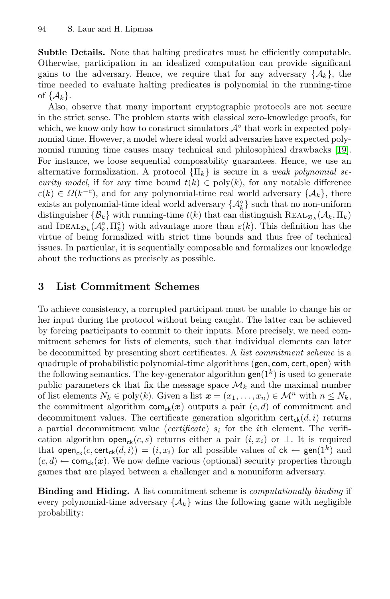**Subtle Details.** Note that halting predicates must be efficiently computable. Otherwise, participation in an idealized computation [can](#page-18-6) provide significant gains to the adversary. Hence, we require that for any adversary  $\{\mathcal{A}_k\}$ , the time needed to evaluate halting predicates is polynomial in the running-time of  $\{A_k\}$ .

Also, observe that many important cryptographic protocols are not secure in the strict sense. The problem starts with classical zero-knowledge proofs, for which, we know only how to construct simulators  $\mathcal{A}^{\circ}$  that work in expected polynomial time. However, a model where ideal world adversaries have expected polynomial running time causes many technical and philosophical drawbacks [19]. For instance, we loose sequential composability guarantees. Hence, we use an alternative formalization. A protocol  $\{\Pi_k\}$  is secure in a *weak polynomial security model*, if for any time bound  $t(k) \in \text{poly}(k)$ , for any notable difference  $\varepsilon(k) \in \Omega(k^{-c})$ , and for any polynomial-time real world adversary  $\{\mathcal{A}_k\}$ , there exists an polynomial-time ideal world adversary  $\{\mathcal{A}_{k}^{\circ}\}\$  such that no non-uniform distinguisher  $\{\mathcal{B}_k\}$  with running-time  $t(k)$  that can distinguish  $\text{ReAL}_{\mathfrak{D}_k}(\mathcal{A}_k, \Pi_k)$ and IDEAL<sub> $\mathfrak{D}_k(\mathcal{A}_k^{\circ}, \Pi_k^{\circ})$  with advantage more than  $\varepsilon(k)$ . This definition has the</sub> virtue of being formalized with strict time bounds and thus free of technical issues. In particular, it is sequentially composable and formalizes our knowledge about the reductions as precisely as possible.

### **3 List Commitment Schemes**

To achieve consistency, a corrupted participant must be unable to change his or her input during the protocol without being caught. The latter can be achieved by forcing participants to commit to their inputs. More precisely, we need commitment schemes for lists of elements, such that individual elements can later be decommitted by presenting short certificates. A *list commitment scheme* is a quadruple of probabilistic polynomial-time algorithms (gen, com, cert, open) with the following semantics. The key-generator algorithm  $\text{gen}(1^k)$  is used to generate public parameters ck that fix the message space  $\mathcal{M}_k$  and the maximal number of list elements  $N_k \in \text{poly}(k)$ . Given a list  $\boldsymbol{x} = (x_1, \ldots, x_n) \in \mathcal{M}^n$  with  $n \leq N_k$ , the commitment algorithm  $com_{ck}(x)$  outputs a pair  $(c, d)$  of commitment and decommitment values. The certificate generation algorithm cert<sub>ck</sub> $(d, i)$  returns a partial decommitment value (*certificate*) s<sup>i</sup> for the ith element. The verification algorithm open<sub>ck</sub> $(c, s)$  returns either a pair  $(i, x_i)$  or  $\perp$ . It is required that open<sub>ck</sub>(c, cert<sub>ck</sub>(d, i)) = (i, x<sub>i</sub>) for all possible values of  $ck \leftarrow gen(1^k)$  and  $(c, d) \leftarrow \text{com}_{ck}(x)$ . We now define various (optional) security properties through games that are played between a challenger and a nonuniform adversary.

**Binding and Hiding.** A list commitment scheme is *computationally binding* if every polynomial-time adversary  $\{\mathcal{A}_k\}$  wins the following game with negligible probability: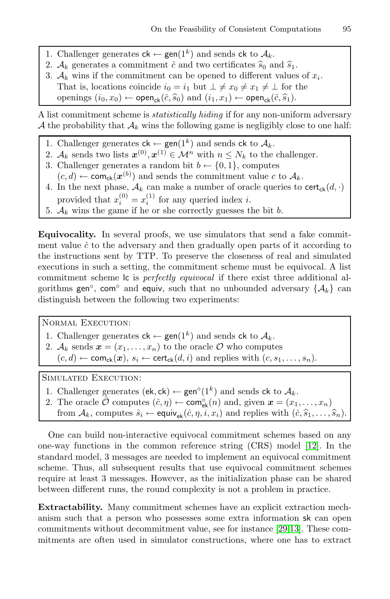- 1. Challenger generates  $ck \leftarrow gen(1^k)$  and sends  $ck$  to  $\mathcal{A}_k$ .
- 2. Ak generates  $ck \leftarrow gen(1^k)$  and sends  $ck$  to .<br>2.  $A_k$  generates a commitment  $\hat{c}$  and two certificates  $\hat{s}_k$  $A_k$ .<br>  $\delta_0$  and  $\hat{s}_1$ .
- 3.  $A_k$  wins if the commitment can be opened to different values of  $x_i$ . That is, locations coincide  $i_0 = i_1$  but  $\perp \neq x_0 \neq x_1 \neq \perp$  for the  $A_k$  generates a commitment c and two certincates  $s_0$  and  $A_k$  wins if the commitment can be opened to different val<br>That is, locations coincide  $i_0 = i_1$  but  $\bot \neq x_0 \neq x_1 \neq \bot$  for openings  $(i_0, x_0) \leftarrow \text{open}_{\text{ck}}(\hat{$ openings  $(i_0, x_0) \leftarrow$  open<sub>ck</sub> $(\hat{c}, \hat{s}_0)$  and  $(i_1, x_1) \leftarrow$  open<sub>ck</sub> $(\hat{c}, \hat{s}_1)$ .

A list commitment scheme is *statistically hiding* if for any non-uniform adversary A the probability that  $\mathcal{A}_k$  wins the following game is negligibly close to one half:

- 1. Challenger generates  $ck \leftarrow \text{gen}(1^k)$  and sends  $ck$  to  $\mathcal{A}_k$ .
- 2.  $\mathcal{A}_k$  sends two lists  $\mathbf{x}^{(0)}, \mathbf{x}^{(1)} \in \mathcal{M}^n$  with  $n \leq N_k$  to the challenger.
- 3. Challenger generates a random bit  $b \leftarrow \{0, 1\}$ , computes
- $(c, d) \leftarrow \text{com}_{\text{ck}}(\boldsymbol{x}^{(b)})$  and sends the commitment value c to  $\mathcal{A}_k$ .
- 4. In the next phase,  $A_k$  can make a number of oracle queries to  $\text{cert}_{ck}(d, \cdot)$ provided that  $x_i^{(0)} = x_i^{(1)}$  for any queried index *i*.
- 5.  $A_k$  wins the game if he or she correctly guesses the bit b.

**Equivocality.** In several proofs, we use simulators that send a fake commitment value  $\hat{c}$  to the adversary and then gradually open parts of it according to the instructions sent by TTP. To preserve the closeness of real and simulated executions in such a setting, the commitment scheme must be equivocal. A list commitment scheme lc is *perfectly equivocal* if there exist three additional algorithms gen<sup>°</sup>, com<sup>°</sup> and equiv, such that no unbounded adversary  $\{A_k\}$  can distinguish between the following two experiments:

NORMAL EXECUTION:

- 1. Challenger generates  $ck \leftarrow \text{gen}(1^k)$  and sends ck to  $\mathcal{A}_k$ .
- 2.  $A_k$  sends  $\boldsymbol{x} = (x_1, \ldots, x_n)$  to the oracle  $\mathcal O$  who computes

 $(c, d) \leftarrow \text{com}_{\text{ck}}(\boldsymbol{x}), s_i \leftarrow \text{cert}_{\text{ck}}(d, i)$  and repli[es w](#page-17-4)ith  $(c, s_1, \ldots, s_n)$ .

Simulated Execution:

- 1. Challenger generates (ek, ck)  $\leftarrow$  gen°(1<sup>k</sup>) and sends ck to  $A_k$ .<br>
2. The oracle  $\hat{\mathcal{O}}$  computes  $(\hat{c}, \eta) \leftarrow$  com<sub>ek</sub> $(n)$  and, given  $\mathbf{x} = (x_1, \dots)$  from  $A_k$ , computes  $\hat{s}_i \leftarrow$  equiv<sub>ek</sub> $(\hat{c}, \eta, i, x_i)$  and
- 2. The oracle  $\tilde{O}$  computes  $(\hat{c}, \eta) \leftarrow \text{com}^{\circ}_{\text{ek}}(n)$  and, given  $\mathbf{x} = (x_1, \dots, x_n)$
- $\ldots, x_n)$ <br> $\widehat{s}_1, \ldots, \widehat{s}_n$ ).

One can build non-interactive equivocal commitment schemes based on any one-way functions in the common refer[enc](#page-18-7)[e st](#page-17-5)ring (CRS) model [12]. In the standard model, 3 messages are needed to implement an equivocal commitment scheme. Thus, all subsequent results that use equivocal commitment schemes require at least 3 messages. However, as the initialization phase can be shared between different runs, the round complexity is not a problem in practice.

**Extractability.** Many commitment schemes have an explicit extraction mechanism such that a person who possesses some extra information sk can open commitments without decommitment value, see for instance [29,13]. These commitments are often used in simulator constructions, where one has to extract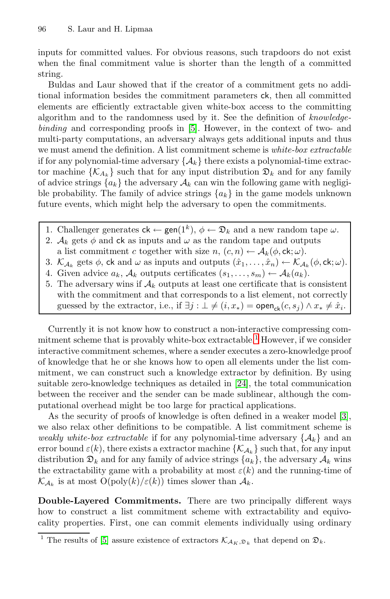inputs for committ[ed](#page-17-6) values. For obvious reasons, such trapdoors do not exist when the final commitment value is shorter than the length of a committed string.

Buldas and Laur showed that if the creator of a commitment gets no additional information besides the commitment parameters ck, then all committed elements are efficiently extractable given white-box access to the committing algorithm and to the randomness used by it. See the definition of *knowledgebinding* and corresponding proofs in [5]. However, in the context of two- and multi-party computations, an adversary always gets additional inputs and thus we must amend the definition. A list commitment scheme is *white-box extractable* if for any polynomial-time adversary  $\{\mathcal{A}_k\}$  there exists a polynomial-time extractor machine  $\{K_{A_k}\}\$  such that for any input distribution  $\mathfrak{D}_k$  and for any family of advice strings  $\{a_k\}$  the adversary  $\mathcal{A}_k$  can win the following game with negligible probability. The family of advice strings  ${a_k}$  in the game models unknown future events, which might help the adversary to open the commitments.

- 1. Challenger generates  $ck \leftarrow gen(1^k)$ ,  $\phi \leftarrow \mathfrak{D}_k$  and a new random tape  $\omega$ .
- 2.  $A_k$  gets  $\phi$  and ck as inputs and  $\omega$  as the random tape and outputs
- a list commitment c together [wi](#page-8-0)th size  $n, (c, n) \leftarrow A_k(\phi, \text{ck}; \omega)$ .
- 3.  $\mathcal{K}_{\mathcal{A}_k}$  gets  $\phi$ , ck and  $\omega$  as inputs and outputs  $(\hat{x}_1,\ldots,\hat{x}_n) \leftarrow \mathcal{K}_{\mathcal{A}_k}(\phi, \text{ck}; \omega)$ .
- 4. Given advice  $a_k$ ,  $\mathcal{A}_k$  outputs certificates  $(s_1,\ldots,s_m) \leftarrow \mathcal{A}_k(a_k)$ .
- 5. The adversary wins if  $A_k$  outputs at least one certificate that is consistent with the commitment and [tha](#page-18-8)t corresponds to a list element, not correctly guessed by the extractor, i.e., if  $\exists j : \bot \neq (i, x_*) = \mathsf{open}_{\mathsf{ck}}(c, s_j) \land x_* \neq \hat{x}_i$ .

Currently it is not know how to construct a non-interac[tiv](#page-17-7)e compressing commitment scheme that is provably white-box extractable.<sup>1</sup> However, if we consider interactive commitment schemes, where a sender executes a zero-knowledge proof of knowledge that he or she knows how to open all elements under the list commitment, we can construct such a knowledge extractor by definition. By using suitable zero-knowledge techniques as detailed in [24], the total communication between the receiver and the sender can be made sublinear, although the computational overhead might be too large for practical applications.

As the security of proofs of knowledge is often defined in a weaker model [3], we also relax other definitions to be compatible. A list commitment scheme is *weakly white-box extractable* if for any polynomial-time adversary  $\{\mathcal{A}_k\}$  and an error bound  $\varepsilon(k)$ , there exists a extractor machine  $\{\mathcal{K}_{\mathcal{A}_k}\}\$  such that, for any input distribution  $\mathfrak{D}_k$  and for any family of advice strings  $\{a_k\}$ , the adversary  $\mathcal{A}_k$  wins the extractability game with a probability at most  $\varepsilon(k)$  and the running-time of  $\mathcal{K}_{\mathcal{A}_k}$  is at most  $O(poly(k)/\varepsilon(k))$  times slower than  $\mathcal{A}_k$ .

<span id="page-8-0"></span>**Double-Layered Commitments.** There are two principally different ways how to construct a list commitment scheme with extractability and equivocality properties. First, one can commit elements individually using ordinary

<sup>&</sup>lt;sup>1</sup> The results of [5] assure existence of extractors  $\mathcal{K}_{A_K,\mathcal{D}_k}$  that depend on  $\mathcal{D}_k$ .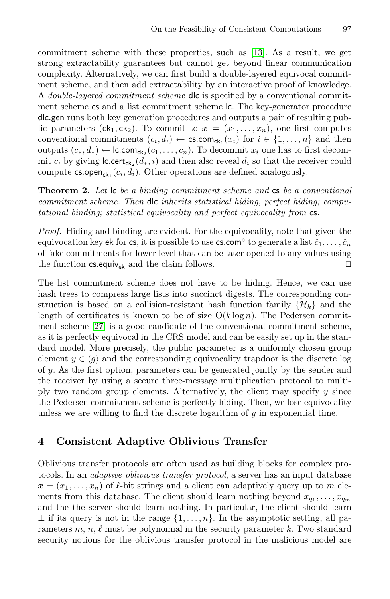commitment scheme with these properties, such as [13]. As a result, we get strong extractability guarantees but cannot get beyond linear communication complexity. Alternatively, we can first build a double-layered equivocal commitment scheme, and then add extractability by an interactive proof of knowledge. A *double-layered commitment scheme* dlc is specified by a conventional commitment scheme cs and a list commitment scheme lc. The key-generator procedure dlc.gen runs both key generation procedures and outputs a pair of resulting public parameters  $(ck_1, ck_2)$ . To commit to  $\boldsymbol{x} = (x_1, \ldots, x_n)$ , one first computes conventional commitments  $(c_i, d_i) \leftarrow \text{cs.com}_{\text{ck}_1}(x_i)$  for  $i \in \{1, ..., n\}$  and then outputs  $(c_*, d_*) \leftarrow \textsf{lc.com}_{\textsf{ck}_2}(c_1,\ldots,c_n)$ . To decommit  $x_i$  one has to first decommit  $c_i$  by giving  $\mathsf{lc.cert}_{\mathsf{ck}_2} (d_*, i)$  and then also reveal  $d_i$  so that the receiver could compute cs.open<sub>ck1</sub>  $(c_i, d_i)$ . Other operations are defined analogously.

**Theorem 2.** *Let* lc *be a binding commitment scheme and* cs *be a conventional commitment scheme. Then* dlc *inherits statistical hiding, perfect hiding; computational binding; statistical equivocality and perfect equivocality from* cs*.*

*Proof.* Hiding and binding are evident. For the equivocality, note that given the equivocation key ek for cs, it is possible to use cs.com $\circ$  to generate a list  $\hat{c}_1,\ldots,\hat{c}_n$ of fake commitments for lower level that can be later opened to any values using the function cs.equiv<sub>ek</sub> and the claim follows.  $\square$ 

The list commitment scheme does not have to be hiding. Hence, we can use hash trees to compress large lists into succinct digests. The corresponding construction is based on a collision-resistant hash function family  $\{\mathcal{H}_k\}$  and the length of certificates is known to be of size  $O(k \log n)$ . The Pedersen commitment scheme [27] is a good candidate of the conventional commitment scheme, as it is perfectly equivocal in the CRS model and can be easily set up in the standard model. More precisely, the public parameter is a uniformly chosen group element  $y \in \langle q \rangle$  and the corresponding equivocality trapdoor is the discrete log of y. As the first option, parameters can be generated jointly by the sender and the receiver by using a secure three-message multiplication protocol to multiply two random group elements. Alternatively, the client may specify  $y$  since the Pedersen commitment scheme is perfectly hiding. Then, we lose equivocality unless we are willing to find the discrete logarithm of  $y$  in exponential time.

### **4 Consistent Adaptive Oblivious Transfer**

Oblivious transfer protocols are often used as building blocks for complex protocols. In an *adaptive oblivious transfer protocol*, a server has an input database  $\mathbf{x} = (x_1, \ldots, x_n)$  of  $\ell$ -bit strings and a client can adaptively query up to m elements from this database. The client should learn nothing beyond  $x_{q_1}, \ldots, x_{q_m}$ and the the server should learn nothing. In particular, the client should learn  $\perp$  if its query is not in the range  $\{1,\ldots,n\}$ . In the asymptotic setting, all parameters m, n,  $\ell$  must be polynomial in the security parameter k. Two standard security notions for the oblivious transfer protocol in the malicious model are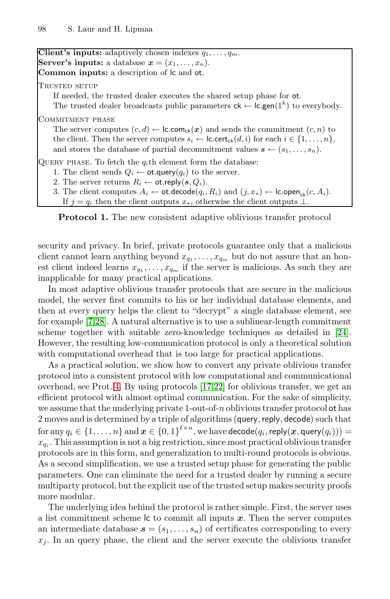<span id="page-10-0"></span>**Client's inputs:** adaptively chosen indexes  $q_1, \ldots, q_m$ . **Server's inputs:** a database  $x = (x_1, \ldots, x_n)$ . **Common inputs:** a description of lc and ot. TRUSTED SETUP If needed, the trusted dealer executes the shared setup phase for ot. The trusted dealer broadcasts public parameters  $ck \leftarrow lc$ .gen(1<sup>k</sup>) to everybody. Commitment phase The server computes  $(c, d) \leftarrow \textsf{lc.com}_{ck}(x)$  and sends the commitment  $(c, n)$  to the client. Then the server computes  $s_i \leftarrow \textsf{lc}.\textsf{cert}_{\textsf{ck}}(d, i)$  for each  $i \in \{1, \ldots, n\},$ and stores the database of partial decommitment values  $s \leftarrow (s_1, \ldots, s_n)$ . QUERY PHASE. To fetch the  $q_i$ th element form the database: 1. The client sends  $Q_i \leftarrow$  ot.query $(q_i)$  to the server. 2. The server returns  $R_i \leftarrow \text{ot.}$ reply $(s, Q_i)$ . 3. The client computes  $A_i \leftarrow \text{ot-decode}(q_i, R_i)$  and  $(j, x_*) \leftarrow \text{lc.pen}_{\text{ck}}(c, A_i)$ . If  $j = q_i$  then the client outputs  $x_*$ , otherwise the client outputs  $\perp$ .

**Protocol 1.** The new consistent adaptive oblivious transfer protocol

security and privacy. In brief, private protocols guarante[e o](#page-18-8)nly that a malicious client cannot learn anything beyond  $x_{q_1}, \ldots, x_{q_m}$  but do not assure that an honest client indeed learns  $x_{q_1}, \ldots, x_{q_m}$  if the server is malicious. As such they are inapplicable for many practical applications.

In most adaptive oblivious transfer protocols that are secure in the malicious [mo](#page-10-0)del, the server first [co](#page-18-9)[mm](#page-18-10)its to his or her individual database elements, and then at every query helps the client to "decrypt" a single database element, see for example [7,28]. A natural alternative is to use a sublinear-length commitment scheme together with suitable zero-knowledge techniques as detailed in [24]. However, the resulting low-communication protocol is only a theoretical solution with computational overhead that is too large for practical applications.

As a practical solution, we show how to convert any private oblivious transfer protocol into a consistent protocol with low computational and communicational overhead, see Prot. 4. By using protocols [17,22] for oblivious transfer, we get an efficient protocol with almost optimal communication. For the sake of simplicity, we assume that the underlying private  $1$ -out-of-n oblivious transfer protocol ot has 2 moves and is determined by a triple of algorithms (query, reply, decode) such that for any  $q_i\in\{1,\ldots,n\}$  and  $\boldsymbol{x}\in\{0,1\}^{\ell\times n},$  we have  $\mathsf{decode}(q_i,\mathsf{reply}(\boldsymbol{x},\mathsf{query}(q_i))) =$  $x_{q_i}$ . This assumption is not a big restriction, since most practical oblivious transfer protocols are in this form, and generalization to multi-round protocols is obvious. As a second simplification, we use a trusted setup phase for generating the public parameters. One can eliminate the need for a trusted dealer by running a secure multiparty protocol, but the explicit use of the trusted setup makes security proofs more modular.

The underlying idea behind the protocol is rather simple. First, the server uses a list commitment scheme lc to commit all inputs *x*. Then the server computes an intermediate database  $\mathbf{s} = (s_1, \ldots, s_n)$  of certificates corresponding to every  $x_i$ . In an query phase, the client and the server execute the oblivious transfer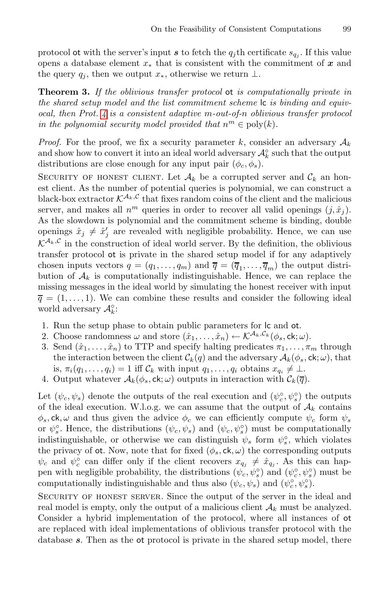<span id="page-11-0"></span>protocol ot with the server's input *s* to fetch the  $q_i$ <sup>th</sup> certificate  $s_{q_i}$ . If this value opens a database element x<sup>∗</sup> that is consistent with the commitment of *x* and the query  $q_i$ , then we output  $x_*$ , otherwise we return  $\perp$ .

**Theorem 3.** *If the oblivious transfer protocol* ot *is computationally private in the shared setup model and the list commitment scheme* lc *is binding and equivocal, then Prot. 4 is a consistent adaptive* m*-out-of-*n *oblivious transfer protocol in the polynomial security model provided that*  $n^m \in \text{poly}(k)$ *.* 

*Proof.* For the proof, we fix a security parameter k, consider an adversary  $A_k$ and show how to convert it into an ideal world adversary  $\mathcal{A}_k^{\circ}$  such that the output distributions are close enough for any input pair  $(\phi_c, \phi_s)$ .

SECURITY OF HONEST CLIENT. Let  $\mathcal{A}_k$  be a corrupted server and  $\mathcal{C}_k$  an honest client. As the number of potential queries is polynomial, we can construct a black-box extractor  $\mathcal{K}^{A_k,\mathcal{C}}$  that fixes random coins of the client and the malicious server, and makes all  $n^m$  queries in order to recover all valid openings  $(j, \hat{x}_i)$ . As the slowdown is polynomial and the commitment scheme is binding, double openings  $\hat{x}_j \neq \hat{x}'_j$  are revealed with negligible probability. Hence, we can use  $\mathcal{K}^{\mathcal{A}_k,\mathcal{C}}$  in the construction of ideal world server. By the definition, the oblivious transfer protocol ot is private in the shared setup model if for any adaptively chosen inputs vectors  $q = (q_1, \ldots, q_m)$  and  $\overline{q} = (\overline{q}_1, \ldots, \overline{q}_m)$  the output distribution of  $A_k$  is computationally indistinguishable. Hence, we can replace the missing messages in the ideal world by simulating the honest receiver with input  $\overline{q} = (1, \ldots, 1)$ . We can combine these results and consider the following ideal world adversary  $\mathcal{A}_k^{\circ}$ :

- 1. Run the setup phase to obtain public parameters for lc and ot.
- 2. Choose randomness  $\omega$  and store  $(\hat{x}_1, \ldots, \hat{x}_n) \leftarrow \mathcal{K}^{\mathcal{A}_k, \mathcal{C}_k}(\phi_s, \text{ck}; \omega)$ .
- 3. Send  $(\hat{x}_1,\ldots,\hat{x}_n)$  to TTP and specify halting predicates  $\pi_1,\ldots,\pi_m$  through the interaction between the client  $\mathcal{C}_k(q)$  and the adversary  $\mathcal{A}_k(\phi_s, \text{ck}; \omega)$ , that is,  $\pi_i(q_1,\ldots,q_i) = 1$  iff  $\mathcal{C}_k$  with input  $q_1,\ldots,q_i$  obtains  $x_{q_i} \neq \perp$ .
- 4. Output whatever  $\mathcal{A}_k(\phi_s, \mathsf{ck}; \omega)$  outputs in interaction with  $\mathcal{C}_k(\overline{q})$ .

Let  $(\psi_c, \psi_s)$  denote the outputs of the real execution and  $(\psi_c^{\circ}, \psi_s^{\circ})$  the outputs of the ideal execution. W.l.o.g. we can assume that the output of  $A_k$  contains  $\phi_s$ , ck,  $\omega$  and thus given the advice  $\phi_c$  we can efficiently compute  $\psi_c$  form  $\psi_s$ or  $\psi_s^{\circ}$ . Hence, the distributions  $(\psi_c, \psi_s)$  and  $(\psi_c, \psi_s^{\circ})$  must be computationally indistinguishable, or otherwise we can distinguish  $\psi_s$  form  $\psi_s^{\circ}$ , which violates the privacy of ot. Now, note that for fixed  $(\phi_s, \mathsf{ck}, \omega)$  the corresponding outputs  $\psi_c$  and  $\psi_c^{\circ}$  can differ only if the client recovers  $x_{q_j} \neq \hat{x}_{q_j}$ . As this can happen with negligible probability, the distributions  $(\psi_c, \psi_s^{\circ})$  and  $(\psi_c^{\circ}, \psi_s^{\circ})$  must be computationally indistinguishable and thus also  $(\psi_c, \psi_s)$  and  $(\psi_c^{\circ}, \psi_s^{\circ})$ .

SECURITY OF HONEST SERVER. Since the output of the server in the ideal and real model is empty, only the output of a malicious client  $A_k$  must be analyzed. Consider a hybrid implementation of the protocol, where all instances of ot are replaced with ideal implementations of oblivious transfer protocol with the database *s*. Then as the ot protocol is private in the shared setup model, there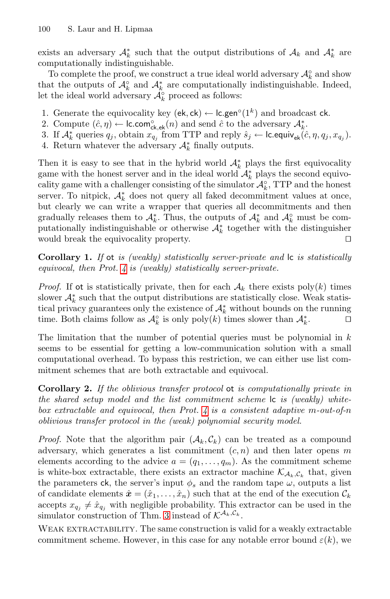exists an adversary  $\mathcal{A}_k^*$  such that the output distributions of  $\mathcal{A}_k$  and  $\mathcal{A}_k^*$  are computationally indistinguishable.

To complete the proof, we construct a true ideal world adversary  $\mathcal{A}_{k}^{\circ}$  and show that the outputs of  $\mathcal{A}_{k}^{\circ}$  and  $\mathcal{A}_{k}^{*}$  are computationally indistinguishable. Indeed, let the ideal world adversary  $A_k^{\circ}$  proceed as follows:

- 1. Generate the equivocality key (ek, ck)  $\leftarrow$  lc.gen°(1<sup>k</sup>) and broadcast ck.
- 2. Compute  $(\hat{c}, \eta) \leftarrow \mathsf{lc.com}^\circ_{\mathsf{ck},\mathsf{ek}}(n)$  and send  $\hat{c}$  to the adversary  $\mathcal{A}_k^*$ .
- 3. If  $\mathcal{A}_{k}^{*}$  queries  $q_j$ , obtain  $x_{q_j}$  from TTP and reply  $\hat{s}_j \leftarrow$  lc.equiv<sub>ek</sub> $(\hat{c}, \eta, q_j, x_{q_j})$ .
- 4. Return whatever the adversary  $\mathcal{A}_{k}^{*}$  finally outputs.

Then it is easy to see that in the hybrid world  $\mathcal{A}_{k}^{*}$  plays the first equivocality game with the honest server and in the ideal world  $A_k^*$  plays the second equivoc[alit](#page-10-0)y game with a challenger consisting of the simulator  $\mathcal{A}_{k}^{\circ}$ , TTP and the honest server. To nitpick,  $\mathcal{A}_{k}^{*}$  does not query all faked decommitment values at once, but clearly we can write a wrapper that queries all decommitments and then gradually releases them to  $\mathcal{A}_{k}^{*}$ . Thus, the outputs of  $\mathcal{A}_{k}^{*}$  and  $\mathcal{A}_{k}^{\circ}$  must be computationally indistinguishable or otherwise  $A_k^*$  together with the distinguisher would break the equivocality property.

**Corollary 1.** *If* ot *is (weakly) statistically server-private and* lc *is statistically equivocal, then Prot. 4 is (weakly) statistically server-private.*

<span id="page-12-0"></span>*Proof.* If ot is statistically private, then for each  $A_k$  there exists poly(k) times slower  $\mathcal{A}_{k}^{*}$  such that the output distributions are statistically close. Weak statistical privacy guarantees only the existence of  $\mathcal{A}_{k}^{*}$  without bounds on the running time. Both claims foll[ow](#page-10-0) as  $\mathcal{A}_{k}^{\circ}$  is only  $\text{poly}(k)$  times slower than  $\mathcal{A}_{k}^{*}$ .

The limitation that the number of potential queries must be polynomial in  $k$ seems to be essential for getting a low-communication solution with a small computational overhead. To bypass this restriction, we can either use list commitment schemes that are both extractable and equivocal.

**Corollary 2.** *If the oblivious transfer protocol* ot *is computationally private in the shared setup model and the list commitment scheme* lc *is (weakly) whitebox extractable and equivocal, then Prot. 4 is a consistent adaptive* m*-out-of-*n *oblivious transfer protocol in the (weak) polynomial security model.*

*Proof.* Note [th](#page-11-0)at the algorithm pair  $(\mathcal{A}_k, \mathcal{C}_k)$  can be treated as a compound adversary, which generates a list commitment  $(c, n)$  and then later opens m elements according to the advice  $a = (q_1, \ldots, q_m)$ . As the commitment scheme is white-box extractable, there exists an extractor machine  $\mathcal{K}_{A_k,\mathcal{C}_k}$  that, given the parameters ck, the server's input  $\phi_s$  and the random tape  $\omega$ , outputs a list of candidate elements  $\hat{\boldsymbol{x}} = (\hat{x}_1, \ldots, \hat{x}_n)$  such that at the end of the execution  $\mathcal{C}_k$ accepts  $x_{q_j} \neq \hat{x}_{q_j}$  with negligible probability. This extractor can be used in the simulator construction of Thm. 3 instead of  $\mathcal{K}^{\mathcal{A}_k,\mathcal{C}_k}$ .

WEAK EXTRACTABILITY. The same construction is valid for a weakly extractable commitment scheme. However, in this case for any notable error bound  $\varepsilon(k)$ , we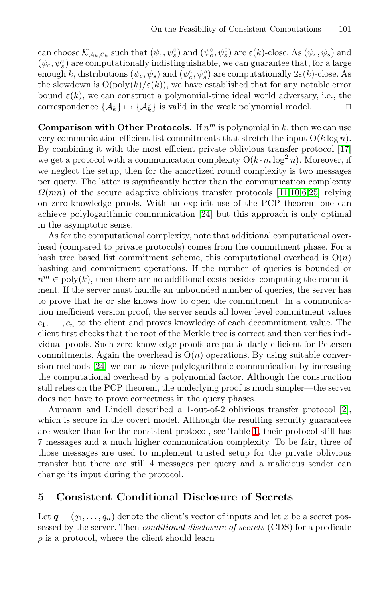can choose  $\mathcal{K}_{\mathcal{A}_k,\mathcal{C}_k}$  such that  $(\psi_c, \psi_s)$  and  $(\psi_c^{\circ}, \psi_s^{\circ})$  are  $\varepsilon(k)$ -close. As  $(\psi_c, \psi_s)$  and  $(\psi_c, \psi_s^{\circ})$  are computationally indistinguishable, we can gu[aran](#page-18-9)tee that, for a large enough k, distributions  $(\psi_c, \psi_s)$  and  $(\psi_c^{\circ}, \psi_s^{\circ})$  are computationally  $2\varepsilon(k)$ -close. As the slowdown is  $O(poly(k)/\varepsilon(k))$ , we have established that for any notable error bound  $\varepsilon(k)$ , we can construct a polynomial-time ideal world adversary, i.e., the correspondence  $\{\mathcal{A}_k\} \mapsto \{\mathcal{A}_k^{\circ}\}\$  $\{\mathcal{A}_k\} \mapsto \{\mathcal{A}_k^{\circ}\}\$  $\{\mathcal{A}_k\} \mapsto \{\mathcal{A}_k^{\circ}\}\$ is valid in [the](#page-17-8) [we](#page-17-9)a[k po](#page-18-11)lynomial model.  $\square$ 

**Comparison with O[the](#page-18-8)r Protocols.** If  $n^m$  is polynomial in k, then we can use very communication efficient list commitments that stretch the input  $O(k \log n)$ . By combining it with the most efficient private oblivious transfer protocol [17] we get a protocol with a communication complexity  $O(k \cdot m \log^2 n)$ . Moreover, if we neglect the setup, then for the amortized round complexity is two messages per query. The latter is significantly better than the communication complexity  $\Omega(mn)$  of the secure adaptive oblivious transfer protocols [11,10,6,25] relying on zero-knowledge proofs. With an explicit use of the PCP theorem one can achieve polylogarithmic communication [24] but this approach is only optimal in the asymptotic sense.

As for the computational complexity, note that additional computational overhead (compared to private protocols) comes from the commitment phase. For a hash tree based list commitment scheme, this computational overhead is  $O(n)$ hashing and commitment operations. If the number of queries is bounded or  $n^m \in \text{poly}(k)$ , then there are no additional costs besides computing the commitment. If the server must handle an unbounded number of queries, the server has to prove that he or she knows how to open the commitment. In a communication inefficient version proof, the server sends all lower level commitment values  $c_1, \ldots, c_n$  to the client and proves knowledge of each dec[om](#page-17-0)mitment value. The client first checks that the root of the Merkle tree is correct and then verifies individual proofs. Such zero-knowledge [p](#page-1-0)roofs are particularly efficient for Petersen commitments. Again the overhead is  $O(n)$  operations. By using suitable conversion methods [24] we can achieve polylogarithmic communication by increasing the computational overhead by a polynomial factor. Although the construction still relies on the PCP theorem, the underlying proof is much simpler—the server does not have to prove correctness in the query phases.

Aumann and Lindell described a 1-out-of-2 oblivious transfer protocol [2], which is secure in the covert model. Although the resulting security guarantees are weaker than for the consistent protocol, see Table 1, their protocol still has 7 messages and a much higher communication complexity. To be fair, three of those messages are used to implement trusted setup for the private oblivious transfer but there are still 4 messages per query and a malicious sender can change its input during the protocol.

## **5 Consistent Conditional Disclosure of Secrets**

Let  $q = (q_1, \ldots, q_n)$  denote the client's vector of inputs and let x be a secret possessed by the server. Then *conditional disclosure of secrets* (CDS) for a predicate  $\rho$  is a protocol, where the client should learn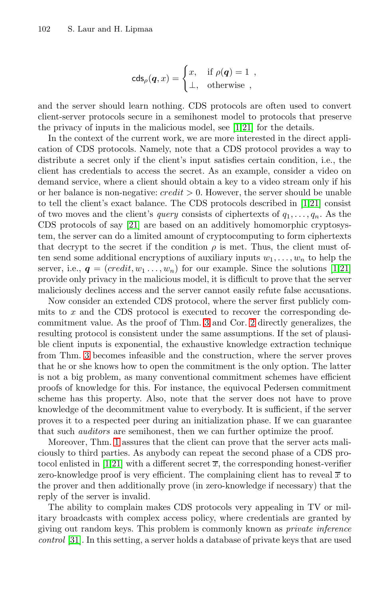$$
\mbox{cds}_\rho(\pmb{q},x) = \begin{cases} x, & \mbox{if } \rho(\pmb{q}) = 1 \ , \\ \bot, & \mbox{otherwise} \ , \end{cases}
$$

and the server should learn nothing. CDS protocols are often used to convert client-server protocols secure in a semihonest [mo](#page-17-2)[del](#page-18-12) to protocols that preserve the privacy of inputs in the malicious model, see [1,21] for the details.

I[n th](#page-18-12)e context of the current work, we are more interested in the direct application of CDS protocols. Namely, note that a CDS protocol provides a way to distribute a secret only if the client's input satisfies certain condition, i.e., the client has credentials to access the secret. As an example, consider a video on demand service, where a client should obtain a key to a [v](#page-17-2)[ide](#page-18-12)o stream only if his or her balance is non-negative:  $credit > 0$ . However, the server should be unable to tell the client's exact balance. The CDS protocols described in [1,21] consist of two moves and the client's *query* consists of ciphertexts of  $q_1, \ldots, q_n$ . As the CDS protocols of say [21] are based on an additively homomorphic cryptosystem, the server can do [a l](#page-11-0)imited a[mo](#page-12-0)unt of cryptocomputing to form ciphertexts that decrypt to the secret if the condition  $\rho$  is met. Thus, the client must often send some additional encryptions of auxiliary inputs  $w_1, \ldots, w_n$  to help the server, i.e.,  $q = (credit, w_1 \ldots, w_n)$  for our example. Since the solutions [1,21] provide only privacy in the malicious model, it is difficult to prove that the server maliciously declines access and the server cannot easily refute false accusations.

Now consider an extended CDS protocol, where the server first publicly commits to  $x$  and the CDS protocol is executed to recover the corresponding decommitment value. As the proof of Thm. 3 and Cor. 2 directly generalizes, the resulting protocol is consistent under the same assumptions. If the set of plausible client inputs is exponential, the exhaustive knowledge extraction technique [fro](#page-4-0)m Thm. 3 becomes infeasible and the construction, where the server proves that he or she knows how to open the commitment is the only option. The latter [is](#page-18-12) not a big problem, as many conventional commitment schemes have efficient proofs of knowledge for this. For instance, the equivocal Pedersen commitment scheme has this property. Also, note that the server does not have to prove knowledge of the decommitment value to everybody. It is sufficient, if the server proves it to a respected peer during an initialization phase. If we can guarantee that such *auditors* are semihonest, then we can further optimize the proof.

Moreover, Thm. 1 assures that the client can prove that the server acts maliciously to third parties. As anybody can repeat the second phase of a CDS protocol enlisted in [1,21] with a different secret  $\overline{x}$ , the corresponding honest-verifier zero-knowledge proof is very efficient. The complaining client has to reveal  $\bar{x}$  to the prover and then additionally prove (in zero-knowledge if necessary) that the reply of the server is invalid.

The ability to complain makes CDS protocols very appealing in TV or military broadcasts with complex access policy, where credentials are granted by giving out random keys. This problem is commonly known as *private inference control* [31]. In this setting, a server holds a database of private keys that are used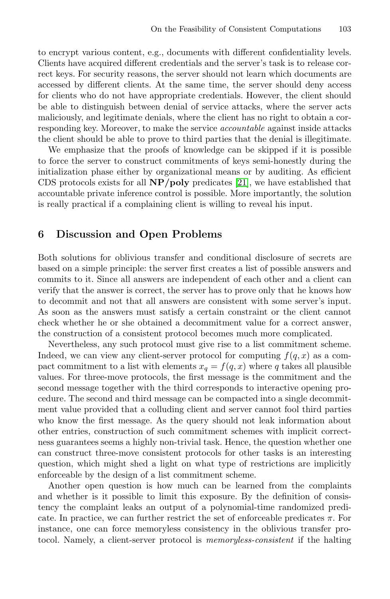to encrypt various content, e.g., documents with different confidentiality levels. Clients have acquired different credentials and the server's task is to release correct keys. For security reasons, the server should not learn which documents are accessed by different clients. At the same time, the server should deny access for clients who do not have ap[prop](#page-18-12)riate credentials. However, the client should be able to distinguish between denial of service attacks, where the server acts maliciously, and legitimate denials, where the client has no right to obtain a corresponding key. Moreover, to make the service *accountable* against inside attacks the client should be able to prove to third parties that the denial is illegitimate.

<span id="page-15-0"></span>We emphasize that the proofs of knowledge can be skipped if it is possible to force the server to construct commitments of keys semi-honestly during the initialization phase either by organizational means or by auditing. As efficient CDS protocols exists for all **NP/poly** predicates [21], we have established that accountable private inference control is possible. More importantly, the solution is really practical if a complaining client is willing to reveal his input.

### **6 Discussion and Open Problems**

Both solutions for oblivious transfer and conditional disclosure of secrets are based on a simple principle: the server first creates a list of possible answers and commits to it. Since all answers are independent of each other and a client can verify that the answer is correct, the server has to prove only that he knows how to decommit and not that all answers are consistent with some server's input. As soon as the answers must satisfy a certain constraint or the client cannot check whether he or she obtained a decommitment value for a correct answer, the construction of a consistent protocol becomes much more complicated.

Nevertheless, any such protocol must give rise to a list commitment scheme. Indeed, we can view any client-server protocol for computing  $f(q, x)$  as a compact commitment to a list with elements  $x_q = f(q, x)$  where q takes all plausible values. For three-move protocols, the first message is the commitment and the second message together with the third corresponds to interactive opening procedure. The second and third message can be compacted into a single decommitment value provided that a colluding client and server cannot fool third parties who know the first message. As the query should not leak information about other entries, construction of such commitment schemes with implicit correctness guarantees seems a highly non-trivial task. Hence, the question whether one can construct three-move consistent protocols for other tasks is an interesting question, which might shed a light on what type of restrictions are implicitly enforceable by the design of a list commitment scheme.

Another open question is how much can be learned from the complaints and whether is it possible to limit this exposure. By the definition of consistency the complaint leaks an output of a polynomial-time randomized predicate. In practice, we can further restrict the set of enforceable predicates  $\pi$ . For instance, one can force memoryless consistency in the oblivious transfer protocol. Namely, a client-server protocol is *memoryless-consistent* if the halting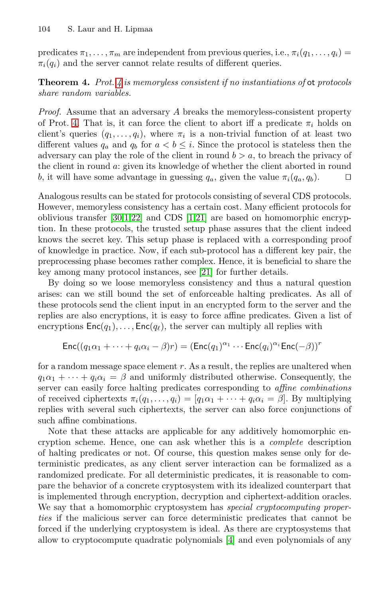predicates  $\pi_1,\ldots,\pi_m$  are independent from previous queries, i.e.,  $\pi_i(q_1,\ldots,q_i)$  =  $\pi_i(q_i)$  and the server cannot relate results of different queries.

**Theorem 4.** *Prot. 4 is memoryless consistent if no instantiations of* ot *protocols share random variables.*

*Proof.* Assume that an adversary A breaks the memoryless-consistent property of Prot. 4. That is, it can force the client to abort iff a predicate  $\pi_i$  holds on [cli](#page-18-13)[en](#page-17-2)[t's](#page-18-10) queries  $(q_1, \ldots, q_i)$ , where  $\pi_i$  is a non-trivial function of at least two different values  $q_a$  and  $q_b$  for  $a < b \leq i$ . Since the protocol is stateless then the adversary can play the role of the client in round  $b > a$ , to breach the privacy of the client in round a: given its knowledge of whether the client aborted in round b, it will have some advantage in guessing  $q_a$ , given the value  $\pi_i(q_a, q_b)$ .

Analogous results can [be](#page-18-12) [s](#page-18-12)tated for protocols consisting of several CDS protocols. However, memoryless consistency has a certain cost. Many efficient protocols for oblivious transfer [30,1,22] and CDS [1,21] are based on homomorphic encryption. In these protocols, the trusted setup phase assures that the client indeed knows the secret key. This setup phase is replaced with a corresponding proof of knowledge in practice. Now, if each sub-protocol has a different key pair, the preprocessing phase becomes rather complex. Hence, it is beneficial to share the key among many protocol instances, see [21] for further details.

By doing so we loose memoryless consistency and thus a natural question arises: can we still bound the set of enforceable halting predicates. As all of these protocols send the client input in an encrypted form to the server and the replies are also encryptions, it is easy to force affine predicates. Given a list of encryptions  $\mathsf{Enc}(q_1), \ldots, \mathsf{Enc}(q_\ell)$ , the server can multiply all replies with

$$
\mathsf{Enc}((q_1\alpha_1 + \cdots + q_i\alpha_i - \beta)r) = (\mathsf{Enc}(q_1)^{\alpha_1} \cdots \mathsf{Enc}(q_i)^{\alpha_i} \mathsf{Enc}(-\beta))^r
$$

for a random message space element  $r$ . As a result, the replies are unaltered when  $q_1\alpha_1 + \cdots + q_i\alpha_i = \beta$  and uniformly distributed otherwise. Consequently, the server can easily force halting predicates corresponding to *affine combinations* of received ciphertexts  $\pi_i(q_1,\ldots,q_i)=[q_1\alpha_1+\cdots+q_i\alpha_i]=\beta$ . By multiplying replies with several such ciphertexts, the server can also force conjunctions of such affine combinations.

Note that these attacks are applicable for any additively homomorphic encryption scheme. Hence, one can ask whether this is a *complete* description of halting predicates or not. [O](#page-17-11)f course, this question makes sense only for deterministic predicates, as any client server interaction can be formalized as a randomized predicate. For all deterministic predicates, it is reasonable to compare the behavior of a concrete cryptosystem with its idealized counterpart that is implemented through encryption, decryption and ciphertext-addition oracles. We say that a homomorphic cryptosystem has *special cryptocomputing properties* if the malicious server can force deterministic predicates that cannot be forced if the underlying cryptosystem is ideal. As there are cryptosystems that allow to cryptocompute quadratic polynomials [4] and even polynomials of any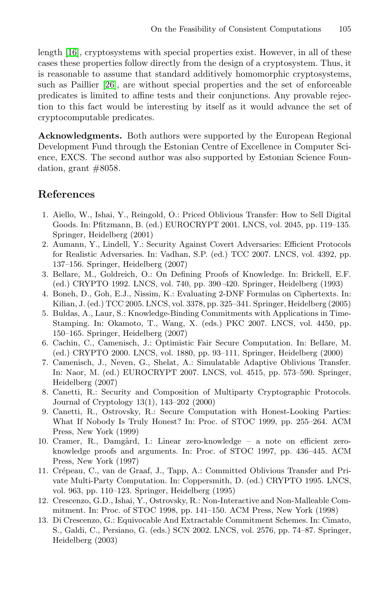length [16], cryptosystems with special properties exist. However, in all of these cases these properties follow directly from the design of a cryptosystem. Thus, it is reasonable to assume that standard additively homomorphic cryptosystems, such as Paillier [26], are without special properties and the set of enforceable predicates is limited to affine tests and their conjunctions. Any provable rejection to this fact would be interesting by itself as it would advance the set of cryptocomputable predicates.

<span id="page-17-2"></span><span id="page-17-0"></span>**Acknowledgments.** Both authors were supported by the European Regional Development Fund through the Estonian Centre of Excellence in Computer Science, EXCS. The second author was also supported by Estonian Science Foundation, grant #8058.

#### <span id="page-17-11"></span><span id="page-17-7"></span>**References**

- <span id="page-17-6"></span>1. Aiello, W., Ishai, Y., Reingold, O.: Priced Oblivious Transfer: How to Sell Digital Goods. In: Pfitzmann, B. (ed.) EUROCRYPT 2001. LNCS, vol. 2045, pp. 119–135. Springer, Heidelberg (2001)
- <span id="page-17-10"></span>2. Aumann, Y., Lindell, Y.: Security Against Covert Adversaries: Efficient Protocols for Realistic Adversaries. In: Vadhan, S.P. (ed.) TCC 2007. LNCS, vol. 4392, pp. 137–156. Springer, Heidelberg (2007)
- 3. Bellare, M., Goldreich, O.: On Defining Proofs of Knowledge. In: Brickell, E.F. (ed.) CRYPTO 1992. LNCS, vol. 740, pp. 390–420. Springer, Heidelberg (1993)
- <span id="page-17-1"></span>4. Boneh, D., Goh, E.J., Nissim, K.: Evaluating 2-DNF Formulas on Ciphertexts. In: Kilian, J. (ed.) TCC 2005. LNCS, vol. 3378, pp. 325–341. Springer, Heidelberg (2005)
- <span id="page-17-3"></span>5. Buldas, A., Laur, S.: Knowledge-Binding Commitments with Applications in Time-Stamping. In: Okamoto, T., Wang, X. (eds.) PKC 2007. LNCS, vol. 4450, pp. 150–165. Springer, Heidelberg (2007)
- <span id="page-17-9"></span>6. Cachin, C., Camenisch, J.: Optimistic Fair Secure Computation. In: Bellare, M. (ed.) CRYPTO 2000. LNCS, vol. 1880, pp. 93–111. Springer, Heidelberg (2000)
- 7. Camenisch, J., Neven, G., Shelat, A.: Simulatable Adaptive Oblivious Transfer. In: Naor, M. (ed.) EUROCRYPT 2007. LNCS, vol. 4515, pp. 573–590. Springer, Heidelberg (2007)
- <span id="page-17-8"></span>8. Canetti, R.: Security and Composition of Multiparty Cryptographic Protocols. Journal of Cryptology 13(1), 143–202 (2000)
- <span id="page-17-4"></span>9. Canetti, R., Ostrovsky, R.: Secure Computation with Honest-Looking Parties: What If Nobody Is Truly Honest? In: Proc. of STOC 1999, pp. 255–264. ACM Press, New York (1999)
- <span id="page-17-5"></span>10. Cramer, R., Damgård, I.: Linear zero-knowledge – a note on efficient zeroknowledge proofs and arguments. In: Proc. of STOC 1997, pp. 436–445. ACM Press, New York (1997)
- 11. Cr´epeau, C., van de Graaf, J., Tapp, A.: Committed Oblivious Transfer and Private Multi-Party Computation. In: Coppersmith, D. (ed.) CRYPTO 1995. LNCS, vol. 963, pp. 110–123. Springer, Heidelberg (1995)
- 12. Crescenzo, G.D., Ishai, Y., Ostrovsky, R.: Non-Interactive and Non-Malleable Commitment. In: Proc. of STOC 1998, pp. 141–150. ACM Press, New York (1998)
- 13. Di Crescenzo, G.: Equivocable And Extractable Commitment Schemes. In: Cimato, S., Galdi, C., Persiano, G. (eds.) SCN 2002. LNCS, vol. 2576, pp. 74–87. Springer, Heidelberg (2003)